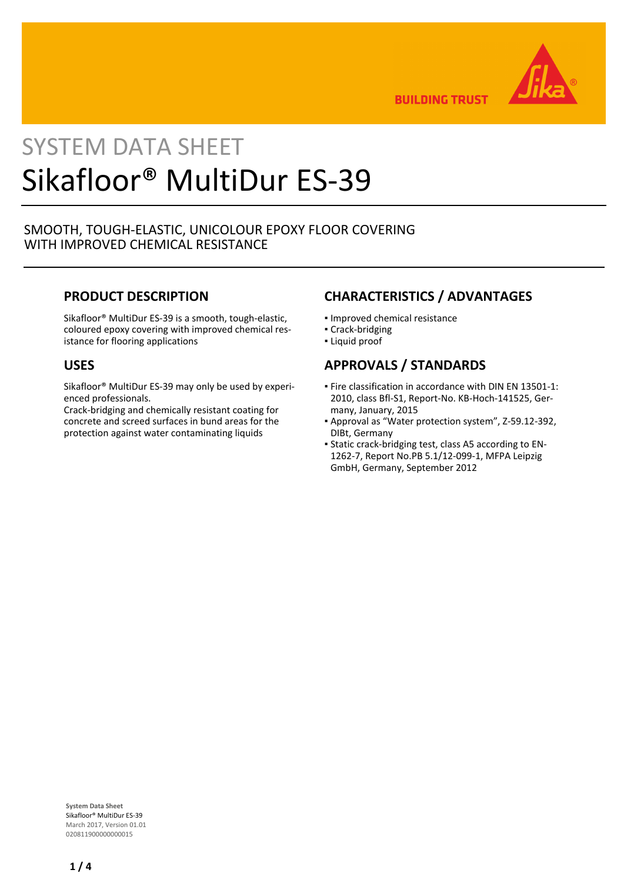

**BUILDING TRUST** 

# SYSTEM DATA SHEET Sikafloor® MultiDur ES-39

## SMOOTH, TOUGH-ELASTIC, UNICOLOUR EPOXY FLOOR COVERING WITH IMPROVED CHEMICAL RESISTANCE

## **PRODUCT DESCRIPTION**

Sikafloor® MultiDur ES-39 is a smooth, tough-elastic, coloured epoxy covering with improved chemical resistance for flooring applications

## **USES**

Sikafloor® MultiDur ES-39 may only be used by experienced professionals.

Crack-bridging and chemically resistant coating for concrete and screed surfaces in bund areas for the protection against water contaminating liquids

## **CHARACTERISTICS / ADVANTAGES**

- Improved chemical resistance
- Crack-bridging
- Liquid proof

## **APPROVALS / STANDARDS**

- Fire classification in accordance with DIN EN 13501-1: 2010, class Bfl-S1, Report-No. KB-Hoch-141525, Germany, January, 2015
- Approval as "Water protection system", Z-59.12-392, DIBt, Germany
- Static crack-bridging test, class A5 according to EN-▪ 1262-7, Report No.PB 5.1/12-099-1, MFPA Leipzig GmbH, Germany, September 2012

**System Data Sheet** Sikafloor® MultiDur ES-39 March 2017, Version 01.01 020811900000000015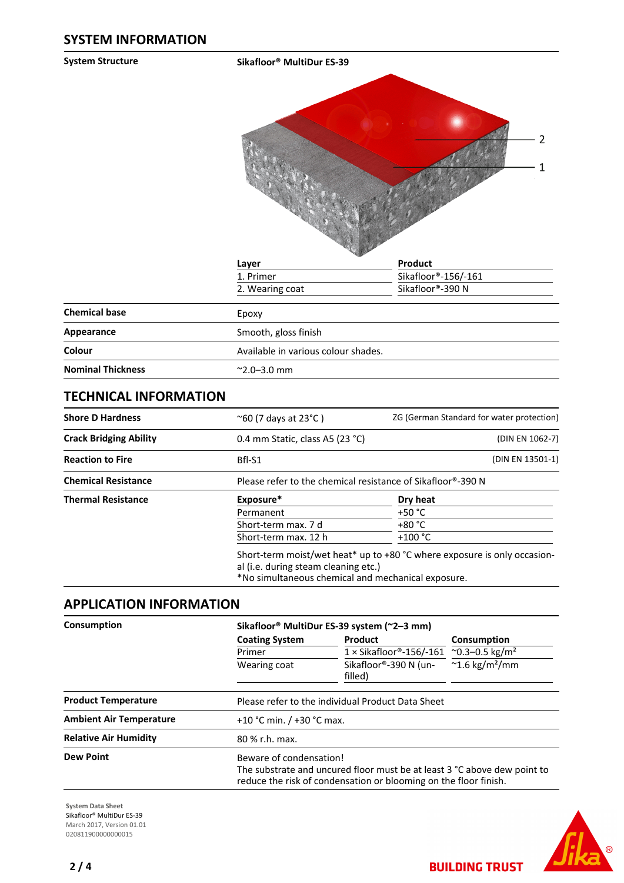**System Structure Sikafloor® MultiDur ES-39**



|                                     | Product                                                                |  |
|-------------------------------------|------------------------------------------------------------------------|--|
|                                     | Sikafloor®-156/-161                                                    |  |
|                                     | Sikafloor®-390 N                                                       |  |
|                                     |                                                                        |  |
| Smooth, gloss finish                |                                                                        |  |
| Available in various colour shades. |                                                                        |  |
|                                     |                                                                        |  |
|                                     | Layer<br>1. Primer<br>2. Wearing coat<br>Epoxy<br>$^{\sim}$ 2.0–3.0 mm |  |

## **TECHNICAL INFORMATION**

| <b>Shore D Hardness</b>       | $^{\sim}60$ (7 days at 23 $^{\circ}$ C)                                                                                                                                | ZG (German Standard for water protection) |  |
|-------------------------------|------------------------------------------------------------------------------------------------------------------------------------------------------------------------|-------------------------------------------|--|
| <b>Crack Bridging Ability</b> | 0.4 mm Static, class A5 (23 °C)                                                                                                                                        | (DIN EN 1062-7)                           |  |
| <b>Reaction to Fire</b>       | (DIN EN 13501-1)<br>Bfl-S1                                                                                                                                             |                                           |  |
| <b>Chemical Resistance</b>    | Please refer to the chemical resistance of Sikafloor®-390 N                                                                                                            |                                           |  |
| <b>Thermal Resistance</b>     | Exposure*                                                                                                                                                              | Dry heat                                  |  |
|                               | Permanent                                                                                                                                                              | $+50 °C$                                  |  |
|                               | Short-term max. 7 d                                                                                                                                                    | +80 °C                                    |  |
|                               | Short-term max. 12 h                                                                                                                                                   | $+100 °C$                                 |  |
|                               | Short-term moist/wet heat* up to +80 °C where exposure is only occasion-<br>al (i.e. during steam cleaning etc.)<br>*No simultaneous chemical and mechanical exposure. |                                           |  |

## **APPLICATION INFORMATION**

| Consumption                    |                         | Sikafloor® MultiDur ES-39 system (~2-3 mm)                                                                                                   |                                     |  |  |  |
|--------------------------------|-------------------------|----------------------------------------------------------------------------------------------------------------------------------------------|-------------------------------------|--|--|--|
|                                | <b>Coating System</b>   | Product                                                                                                                                      | Consumption                         |  |  |  |
|                                | Primer                  | $1 \times$ Sikafloor®-156/-161 ~0.3–0.5 kg/m <sup>2</sup>                                                                                    |                                     |  |  |  |
|                                | Wearing coat            | Sikafloor®-390 N (un-<br>filled)                                                                                                             | $\approx$ 1.6 kg/m <sup>2</sup> /mm |  |  |  |
| <b>Product Temperature</b>     |                         | Please refer to the individual Product Data Sheet                                                                                            |                                     |  |  |  |
| <b>Ambient Air Temperature</b> |                         | +10 °C min. $/$ +30 °C max.                                                                                                                  |                                     |  |  |  |
| <b>Relative Air Humidity</b>   | 80 % r.h. max.          |                                                                                                                                              |                                     |  |  |  |
| <b>Dew Point</b>               | Beware of condensation! | The substrate and uncured floor must be at least 3 °C above dew point to<br>reduce the risk of condensation or blooming on the floor finish. |                                     |  |  |  |

**System Data Sheet** Sikafloor® MultiDur ES-39 March 2017, Version 01.01 0208119000000000015



**BUILDING TRUST**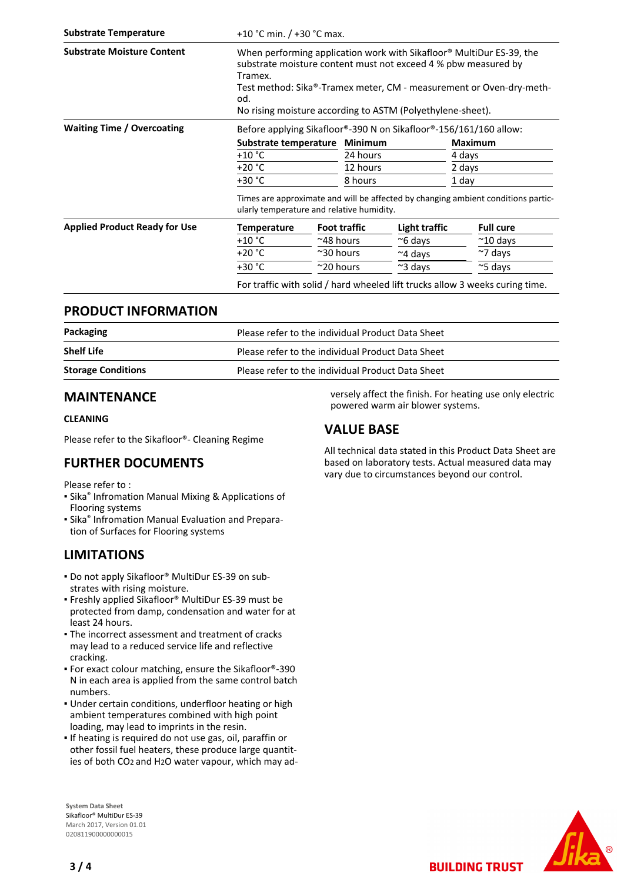| <b>Substrate Temperature</b>         | +10 °C min. / +30 °C max.                                                                                                                                                                                                                                                                     |                                                                   |                     |                  |        |                                                                              |  |
|--------------------------------------|-----------------------------------------------------------------------------------------------------------------------------------------------------------------------------------------------------------------------------------------------------------------------------------------------|-------------------------------------------------------------------|---------------------|------------------|--------|------------------------------------------------------------------------------|--|
| <b>Substrate Moisture Content</b>    | When performing application work with Sikafloor® MultiDur ES-39, the<br>substrate moisture content must not exceed 4 % pbw measured by<br>Tramex.<br>Test method: Sika®-Tramex meter, CM - measurement or Oven-dry-meth-<br>od.<br>No rising moisture according to ASTM (Polyethylene-sheet). |                                                                   |                     |                  |        |                                                                              |  |
| <b>Waiting Time / Overcoating</b>    |                                                                                                                                                                                                                                                                                               | Before applying Sikafloor®-390 N on Sikafloor®-156/161/160 allow: |                     |                  |        |                                                                              |  |
|                                      | Substrate temperature Minimum                                                                                                                                                                                                                                                                 |                                                                   |                     |                  |        | <b>Maximum</b>                                                               |  |
|                                      | $+10 °C$                                                                                                                                                                                                                                                                                      | 24 hours                                                          |                     |                  | 4 days |                                                                              |  |
|                                      | $+20 °C$                                                                                                                                                                                                                                                                                      |                                                                   | 12 hours            |                  | 2 days |                                                                              |  |
|                                      | $+30 °C$<br>8 hours                                                                                                                                                                                                                                                                           |                                                                   | 1 day               |                  |        |                                                                              |  |
|                                      | Times are approximate and will be affected by changing ambient conditions partic-<br>ularly temperature and relative humidity.                                                                                                                                                                |                                                                   |                     |                  |        |                                                                              |  |
| <b>Applied Product Ready for Use</b> | Temperature                                                                                                                                                                                                                                                                                   |                                                                   | <b>Foot traffic</b> | Light traffic    |        | <b>Full cure</b>                                                             |  |
|                                      | $+10 °C$                                                                                                                                                                                                                                                                                      | $^{\sim}$ 48 hours                                                |                     | $~\sim$ 6 days   |        | $^{\sim}$ 10 days                                                            |  |
|                                      | $+20 °C$                                                                                                                                                                                                                                                                                      | $\approx$ 30 hours                                                |                     | $~\sim$ 4 days   |        | $\sim$ 7 days                                                                |  |
|                                      | $+30 °C$                                                                                                                                                                                                                                                                                      | $~\sim$ 20 hours                                                  |                     | $\approx$ 3 days |        | $\approx$ 5 days                                                             |  |
|                                      |                                                                                                                                                                                                                                                                                               |                                                                   |                     |                  |        | For traffic with solid / hard wheeled lift trucks allow 3 weeks curing time. |  |

## **PRODUCT INFORMATION**

| Packaging                 | Please refer to the individual Product Data Sheet |
|---------------------------|---------------------------------------------------|
| <b>Shelf Life</b>         | Please refer to the individual Product Data Sheet |
| <b>Storage Conditions</b> | Please refer to the individual Product Data Sheet |

## **MAINTENANCE**

#### **CLEANING**

Please refer to the Sikafloor®- Cleaning Regime

## **FURTHER DOCUMENTS**

Please refer to :

- **E** Sika<sup>®</sup> Infromation Manual Mixing & Applications of Flooring systems
- **E** Sika<sup>®</sup> Infromation Manual Evaluation and Preparation of Surfaces for Flooring systems

## **LIMITATIONS**

- Do not apply Sikafloor® MultiDur ES-39 on sub-▪ strates with rising moisture.
- Freshly applied Sikafloor® MultiDur ES-39 must be protected from damp, condensation and water for at least 24 hours.
- The incorrect assessment and treatment of cracks may lead to a reduced service life and reflective cracking.
- For exact colour matching, ensure the Sikafloor®-390 N in each area is applied from the same control batch numbers.
- Under certain conditions, underfloor heating or high ambient temperatures combined with high point loading, may lead to imprints in the resin.
- **.** If heating is required do not use gas, oil, paraffin or other fossil fuel heaters, these produce large quantities of both CO2 and H2O water vapour, which may ad-

**System Data Sheet** Sikafloor® MultiDur ES-39 March 2017, Version 01.01 020811900000000015

**VALUE BASE**

powered warm air blower systems.

versely affect the finish. For heating use only electric

All technical data stated in this Product Data Sheet are based on laboratory tests. Actual measured data may vary due to circumstances beyond our control.



**BUILDING TRUST**